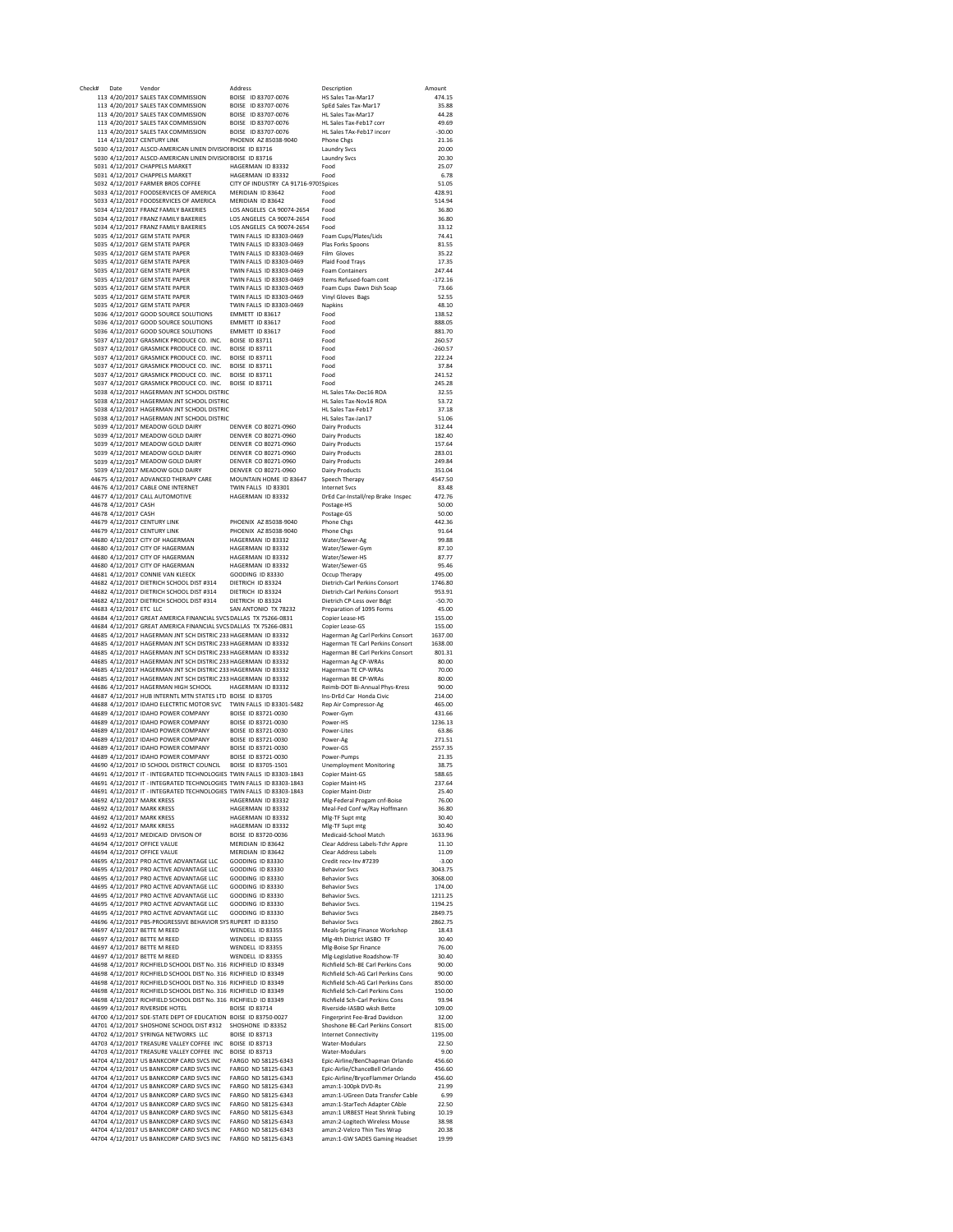| Date                    | Vendor                                                                                                                                                                                | Address                                        | Description                                                    | Amount             |
|-------------------------|---------------------------------------------------------------------------------------------------------------------------------------------------------------------------------------|------------------------------------------------|----------------------------------------------------------------|--------------------|
|                         | 113 4/20/2017 SALES TAX COMMISSION                                                                                                                                                    | BOISE ID 83707-0076                            | HS Sales Tax-Mar17                                             | 474.15             |
|                         | 113 4/20/2017 SALES TAX COMMISSION                                                                                                                                                    | BOISE ID 83707-0076                            | SpEd Sales Tax-Mar17                                           | 35.88              |
|                         | 113 4/20/2017 SALES TAX COMMISSION                                                                                                                                                    | BOISE ID 83707-0076                            | HL Sales Tax-Mar17                                             | 44.28<br>49.69     |
|                         | 113 4/20/2017 SALES TAX COMMISSION                                                                                                                                                    | BOISE ID 83707-0076<br>BOISE ID 83707-0076     | HL Sales Tax-Feb17 corr<br>HL Sales TAx-Feb17 incorr           |                    |
|                         | 113 4/20/2017 SALES TAX COMMISSION<br>114 4/13/2017 CENTURY LINK                                                                                                                      | PHOENIX AZ 85038-9040                          | Phone Chgs                                                     | $-30.00$<br>21.16  |
|                         | 5030 4/12/2017 ALSCO-AMERICAN LINEN DIVISIO BOISE ID 83716                                                                                                                            |                                                | Laundry Svcs                                                   | 20.00              |
|                         | 5030 4/12/2017 ALSCO-AMERICAN LINEN DIVISIO BOISE ID 83716                                                                                                                            |                                                | <b>Laundry Svcs</b>                                            | 20.30              |
|                         | 5031 4/12/2017 CHAPPELS MARKET                                                                                                                                                        | HAGERMAN ID 83332                              | Food                                                           | 25.07              |
|                         | 5031 4/12/2017 CHAPPELS MARKET                                                                                                                                                        | HAGERMAN ID 83332                              | Food                                                           | 6.78               |
|                         | 5032 4/12/2017 FARMER BROS COFFEE                                                                                                                                                     | CITY OF INDUSTRY CA 91716-9705 Spices          |                                                                | 51.05              |
|                         | 5033 4/12/2017 FOODSERVICES OF AMERICA                                                                                                                                                | MERIDIAN ID 83642                              | Food                                                           | 428.91             |
|                         | 5033 4/12/2017 FOODSERVICES OF AMERICA                                                                                                                                                | MERIDIAN ID 83642                              | Food                                                           | 514.94             |
|                         | 5034 4/12/2017 FRANZ FAMILY BAKERIES                                                                                                                                                  | LOS ANGELES CA 90074-2654                      | Food                                                           | 36.80              |
|                         | 5034 4/12/2017 FRANZ FAMILY BAKERIES                                                                                                                                                  | LOS ANGELES CA 90074-2654                      | Food                                                           | 36.80              |
|                         | 5034 4/12/2017 FRANZ FAMILY BAKERIES                                                                                                                                                  | LOS ANGELES CA 90074-2654                      | Food                                                           | 33.12              |
|                         | 5035 4/12/2017 GEM STATE PAPER                                                                                                                                                        | TWIN FALLS ID 83303-0469                       | Foam Cups/Plates/Lids                                          | 74.41              |
|                         | 5035 4/12/2017 GEM STATE PAPER                                                                                                                                                        | TWIN FALLS ID 83303-0469                       | Plas Forks Spoons                                              | 81.55              |
|                         | 5035 4/12/2017 GEM STATE PAPER                                                                                                                                                        | TWIN FALLS ID 83303-0469                       | Film Gloves                                                    | 35.22              |
|                         | 5035 4/12/2017 GEM STATE PAPER                                                                                                                                                        | TWIN FALLS ID 83303-0469                       | Plaid Food Travs                                               | 17.35              |
|                         | 5035 4/12/2017 GEM STATE PAPER                                                                                                                                                        | TWIN FALLS ID 83303-0469                       | <b>Foam Containers</b>                                         | 247.44             |
|                         | 5035 4/12/2017 GEM STATE PAPER                                                                                                                                                        | TWIN FALLS ID 83303-0469                       | Items Refused-foam cont                                        | $-172.16$          |
|                         | 5035 4/12/2017 GEM STATE PAPER                                                                                                                                                        | TWIN FALLS ID 83303-0469                       | Foam Cups Dawn Dish Soap                                       | 73.66              |
|                         | 5035 4/12/2017 GEM STATE PAPER                                                                                                                                                        | TWIN FALLS ID 83303-0469                       | Vinyl Gloves Bags                                              | 52.55              |
|                         | 5035 4/12/2017 GEM STATE PAPER                                                                                                                                                        | TWIN FALLS ID 83303-0469                       | Napkins                                                        | 48.10              |
|                         | 5036 4/12/2017 GOOD SOURCE SOLUTIONS<br>5036 4/12/2017 GOOD SOURCE SOLUTIONS                                                                                                          | EMMETT ID 83617<br>EMMETT ID 83617             | Food<br>Food                                                   | 138.52<br>888.05   |
|                         | 5036 4/12/2017 GOOD SOURCE SOLUTIONS                                                                                                                                                  | EMMETT ID 83617                                | Food                                                           | 881.70             |
|                         | 5037 4/12/2017 GRASMICK PRODUCE CO. INC. BOISE ID 83711                                                                                                                               |                                                | Food                                                           | 260.57             |
|                         | 5037 4/12/2017 GRASMICK PRODUCE CO. INC. BOISE ID 83711                                                                                                                               |                                                | Food                                                           | $-260.57$          |
|                         | 5037 4/12/2017 GRASMICK PRODUCE CO. INC. BOISE ID 83711                                                                                                                               |                                                | Food                                                           | 222.24             |
|                         | 5037 4/12/2017 GRASMICK PRODUCE CO. INC.                                                                                                                                              | <b>BOISE ID 83711</b>                          | Food                                                           | 37.84              |
|                         | 5037 4/12/2017 GRASMICK PRODUCE CO. INC.                                                                                                                                              | <b>BOISE ID 83711</b>                          | Food                                                           | 241.52             |
|                         | 5037 4/12/2017 GRASMICK PRODUCE CO. INC.                                                                                                                                              | <b>BOISE ID 83711</b>                          | Food                                                           | 245.28             |
|                         | 5038 4/12/2017 HAGERMAN JNT SCHOOL DISTRIC                                                                                                                                            |                                                | HI Sales TAx-Dec16 ROA                                         | 32.55              |
|                         | 5038 4/12/2017 HAGERMAN JNT SCHOOL DISTRIC                                                                                                                                            |                                                | HL Sales Tax-Nov16 ROA                                         | 53.72              |
|                         | 5038 4/12/2017 HAGERMAN JNT SCHOOL DISTRIC                                                                                                                                            |                                                | HL Sales Tax-Feb17                                             | 37.18              |
|                         | 5038 4/12/2017 HAGERMAN JNT SCHOOL DISTRIC                                                                                                                                            |                                                | HL Sales Tax-Jan17                                             | 51.06              |
|                         | 5039 4/12/2017 MEADOW GOLD DAIRY                                                                                                                                                      | DENVER CO 80271-0960                           | <b>Dairy Products</b>                                          | 312.44             |
|                         | 5039 4/12/2017 MEADOW GOLD DAIRY                                                                                                                                                      | DENVER CO 80271-0960                           | <b>Dairy Products</b>                                          | 182.40             |
|                         | 5039 4/12/2017 MEADOW GOLD DAIRY                                                                                                                                                      | DENVER CO 80271-0960                           | <b>Dairy Products</b>                                          | 157.64             |
|                         | 5039 4/12/2017 MEADOW GOLD DAIRY                                                                                                                                                      | DENVER CO 80271-0960                           | Dairy Products                                                 | 283.01             |
|                         | 5039 4/12/2017 MEADOW GOLD DAIRY                                                                                                                                                      | DENVER CO 80271-0960                           | <b>Dairy Products</b>                                          | 249.84             |
|                         | 5039 4/12/2017 MEADOW GOLD DAIRY<br>44675 4/12/2017 ADVANCED THERAPY CARE                                                                                                             | DENVER CO 80271-0960<br>MOUNTAIN HOME ID 83647 | <b>Dairy Products</b><br>Speech Therapy                        | 351.04<br>4547.50  |
|                         | 44676 4/12/2017 CABLE ONE INTERNET                                                                                                                                                    | TWIN FALLS ID 83301                            | <b>Internet Svcs</b>                                           | 83.48              |
|                         | 44677 4/12/2017 CALL AUTOMOTIVE                                                                                                                                                       | HAGERMAN ID 83332                              | DrEd Car-Install/rep Brake Inspec                              | 472.76             |
| 44678 4/12/2017 CASH    |                                                                                                                                                                                       |                                                | Postage-HS                                                     | 50.00              |
| 44678 4/12/2017 CASH    |                                                                                                                                                                                       |                                                | Postage-GS                                                     | 50.00              |
|                         | 44679 4/12/2017 CENTURY LINK                                                                                                                                                          | PHOENIX AZ 85038-9040                          | <b>Phone Chgs</b>                                              | 442.36             |
|                         | 44679 4/12/2017 CENTURY LINK                                                                                                                                                          | PHOENIX AZ 85038-9040                          | Phone Chgs                                                     | 91.64              |
|                         | 44680 4/12/2017 CITY OF HAGERMAN                                                                                                                                                      | HAGERMAN ID 83332                              | Water/Sewer-Ag                                                 | 99.88              |
|                         | 44680 4/12/2017 CITY OF HAGERMAN                                                                                                                                                      | HAGERMAN ID 83332                              | Water/Sewer-Gym                                                | 87.10              |
|                         | 44680 4/12/2017 CITY OF HAGERMAN                                                                                                                                                      | HAGERMAN ID 83332                              | Water/Sewer-HS                                                 | 87.77              |
|                         | 44680 4/12/2017 CITY OF HAGERMAN                                                                                                                                                      | HAGERMAN ID 83332                              | Water/Sewer-GS                                                 | 95.46              |
|                         | 44681 4/12/2017 CONNIE VAN KLEECK                                                                                                                                                     | <b>GOODING ID 83330</b>                        | Occup Therapy                                                  | 495.00             |
|                         | 44682 4/12/2017 DIETRICH SCHOOL DIST #314                                                                                                                                             | DIETRICH ID 83324                              | Dietrich-Carl Perkins Consort                                  | 1746.80            |
|                         | 44682 4/12/2017 DIETRICH SCHOOL DIST #314                                                                                                                                             | DIETRICH ID 83324                              | Dietrich-Carl Perkins Consort                                  | 953.91             |
|                         | 44682 4/12/2017 DIETRICH SCHOOL DIST #314                                                                                                                                             | DIETRICH ID 83324<br>SAN ANTONIO TX 78232      | Dietrich CP-Less over Bdgt                                     | $-50.70$<br>45.00  |
| 44683 4/12/2017 ETC LLC | 44684 4/12/2017 GREAT AMERICA FINANCIAL SVCS DALLAS TX 75266-0831                                                                                                                     |                                                | Preparation of 1095 Forms<br>Copier Lease-HS                   | 155.00             |
|                         | 44684 4/12/2017 GREAT AMERICA FINANCIAL SVCS DALLAS TX 75266-0831                                                                                                                     |                                                | Copier Lease-GS                                                | 155.00             |
|                         | 44685 4/12/2017 HAGERMAN JNT SCH DISTRIC 233 HAGERMAN ID 83332                                                                                                                        |                                                | Hagerman Ag Carl Perkins Consort                               | 1637.00            |
|                         | 44685 4/12/2017 HAGERMAN JNT SCH DISTRIC 233 HAGERMAN ID 83332                                                                                                                        |                                                | Hagerman TE Carl Perkins Consort                               | 1638.00            |
|                         | 44685 4/12/2017 HAGERMAN JNT SCH DISTRIC 233 HAGERMAN ID 83332                                                                                                                        |                                                | Hagerman BE Carl Perkins Consort                               | 801.31             |
|                         | 44685 4/12/2017 HAGERMAN JNT SCH DISTRIC 233 HAGERMAN ID 83332                                                                                                                        |                                                | Hagerman Ag CP-WRAs                                            | 80.00              |
|                         | 44685 4/12/2017 HAGERMAN JNT SCH DISTRIC 233 HAGERMAN ID 83332                                                                                                                        |                                                | Hagerman TE CP-WRAs                                            | 70.00              |
|                         | 44685 4/12/2017 HAGERMAN JNT SCH DISTRIC 233 HAGERMAN ID 83332                                                                                                                        |                                                | Hagerman BE CP-WRAs                                            | 80.00              |
|                         | 44686 4/12/2017 HAGERMAN HIGH SCHOOL                                                                                                                                                  | HAGERMAN ID 83332                              | Reimb-DOT Bi-Annual Phys-Kress                                 | 90.00              |
|                         | 44687 4/12/2017 HUB INTERNTL MTN STATES LTD BOISE ID 83705                                                                                                                            |                                                | Ins-DrEd Car Honda Civic                                       | 214.00             |
|                         |                                                                                                                                                                                       |                                                |                                                                |                    |
|                         | 44688 4/12/2017 IDAHO ELECTRTIC MOTOR SVC TWIN FALLS ID 83301-5482                                                                                                                    |                                                | Rep Air Compressor-Ag                                          | 465.00             |
|                         | 44689 4/12/2017 IDAHO POWER COMPANY                                                                                                                                                   | BOISE ID 83721-0030                            | Power-Gym                                                      | 431.66             |
|                         | 44689 4/12/2017 IDAHO POWER COMPANY                                                                                                                                                   | BOISE ID 83721-0030                            | Power-HS                                                       | 1236.13            |
|                         | 44689 4/12/2017 IDAHO POWER COMPANY                                                                                                                                                   | BOISE ID 83721-0030                            | Power-Lites                                                    | 63.86              |
|                         | 44689 4/12/2017 IDAHO POWER COMPANY                                                                                                                                                   | BOISE ID 83721-0030                            | Power-Ag                                                       | 271.51             |
|                         | 44689 4/12/2017 IDAHO POWER COMPANY                                                                                                                                                   | BOISE ID 83721-0030                            | Power-GS                                                       | 2557.35            |
|                         | 44689 4/12/2017 IDAHO POWER COMPANY                                                                                                                                                   | BOISE ID 83721-0030                            | Power-Pumps                                                    | 21.35              |
|                         | 44690 4/12/2017 ID SCHOOL DISTRICT COUNCIL BOISE ID 83705-1501                                                                                                                        |                                                | <b>Unemployment Monitoring</b>                                 | 38.75              |
|                         | 44691 4/12/2017 IT - INTEGRATED TECHNOLOGIES TWIN FALLS ID 83303-1843                                                                                                                 |                                                | Copier Maint-GS                                                | 588.65             |
|                         | 44691 4/12/2017 IT - INTEGRATED TECHNOLOGIES TWIN FALLS ID 83303-1843                                                                                                                 |                                                | <b>Copier Maint-HS</b>                                         | 237.64             |
|                         | 44691 4/12/2017 IT - INTEGRATED TECHNOLOGIES TWIN FALLS ID 83303-1843                                                                                                                 |                                                | Copier Maint-Distr<br>Mlg-Federal Progam cnf-Boise             | 25.40<br>76.00     |
|                         | 44692 4/12/2017 MARK KRESS<br>44692 4/12/2017 MARK KRESS                                                                                                                              | HAGERMAN ID 83332<br>HAGERMAN ID 83332         | Meal-Fed Conf w/Ray Hoffmann                                   | 36.80              |
|                         | 44692 4/12/2017 MARK KRESS                                                                                                                                                            | HAGERMAN ID 83332                              | Mlg-TF Supt mtg                                                | 30.40              |
|                         | 44692 4/12/2017 MARK KRESS                                                                                                                                                            | HAGFRMAN ID 83332                              | Mlg-TF Supt mtg                                                | 30.40              |
|                         | 44693 4/12/2017 MEDICAID DIVISON OF                                                                                                                                                   | BOISE ID 83720-0036                            | Medicaid-School Match                                          | 1633.96            |
|                         | 44694 4/12/2017 OFFICE VALUE                                                                                                                                                          | MERIDIAN ID 83642                              | Clear Address Labels-Tchr Appre                                | 11.10              |
|                         | 44694 4/12/2017 OFFICE VALUE                                                                                                                                                          | MERIDIAN ID 83642                              | Clear Address Labels                                           | 11.09              |
|                         | 44695 4/12/2017 PRO ACTIVE ADVANTAGE LLC                                                                                                                                              | GOODING ID 83330                               | Credit recv-Inv #7239                                          | $-3.00$            |
|                         | 44695 4/12/2017 PRO ACTIVE ADVANTAGE LLC                                                                                                                                              | GOODING ID 83330                               | <b>Behavior Svcs</b>                                           | 3043.75            |
|                         | 44695 4/12/2017 PRO ACTIVE ADVANTAGE LLC                                                                                                                                              | GOODING ID 83330                               | <b>Behavior Sycs</b>                                           | 3068.00            |
|                         | 44695 4/12/2017 PRO ACTIVE ADVANTAGE LLC                                                                                                                                              | <b>GOODING ID 83330</b>                        | <b>Behavior Svcs</b>                                           | 174.00             |
|                         | 44695 4/12/2017 PRO ACTIVE ADVANTAGE LLC<br>44695 4/12/2017 PRO ACTIVE ADVANTAGE LLC   GOODING ID 83330                                                                               | <b>GOODING ID 83330</b>                        | <b>Behavior Sycs.</b><br>Behavior Sycs.                        | 1211.25<br>1194.25 |
|                         |                                                                                                                                                                                       |                                                | <b>Behavior Svcs</b>                                           | 2849.75            |
|                         | 44695 4/12/2017 PRO ACTIVE ADVANTAGE LLC   GOODING ID 83330                                                                                                                           |                                                | <b>Behavior Sycs</b>                                           | 2862.75            |
|                         | 44696 4/12/2017 PBS-PROGRESSIVE BEHAVIOR SYS RUPERT ID 83350<br>44697 4/12/2017 BETTE M REED                                                                                          | WENDELL ID 83355                               | Meals-Spring Finance Workshop                                  | 18.43              |
|                         | 44697 4/12/2017 BETTE M REED                                                                                                                                                          | WENDELL ID 83355                               | Mlg-4th District IASBO TF                                      | 30.40              |
|                         | 44697 4/12/2017 BETTE M REED                                                                                                                                                          | WENDELL ID 83355                               | Mlg-Boise Spr Finance                                          | 76.00              |
|                         | 44697 4/12/2017 BETTE M REED                                                                                                                                                          | WENDELL ID 83355                               | Mlg-Legislative Roadshow-TF                                    | 30.40              |
|                         | 44698 4/12/2017 RICHFIELD SCHOOL DIST No. 316 RICHFIELD ID 83349                                                                                                                      |                                                | Richfield Sch-BE Carl Perkins Cons                             | 90.00              |
|                         | 44698 4/12/2017 RICHFIELD SCHOOL DIST No. 316 RICHFIELD ID 83349                                                                                                                      |                                                | Richfield Sch-AG Carl Perkins Cons                             | 90.00              |
|                         | 44698 4/12/2017 RICHFIELD SCHOOL DIST No. 316 RICHFIELD ID 83349                                                                                                                      |                                                | <b>Richfield Sch-AG Carl Perkins Cons.</b>                     | 850.00             |
|                         | 44698 4/12/2017 RICHFIELD SCHOOL DIST No. 316 RICHFIELD ID 83349                                                                                                                      |                                                | Richfield Sch-Carl Perkins Cons                                | 150.00             |
|                         | 44698 4/12/2017 RICHFIELD SCHOOL DIST No. 316 RICHFIELD ID 83349                                                                                                                      |                                                | Richfield Sch-Carl Perkins Cons                                | 93.94              |
|                         | 44699 4/12/2017 RIVERSIDE HOTEL                                                                                                                                                       | <b>BOISE ID 83714</b>                          | Riverside-IASBO wksh Bette                                     | 109.00             |
|                         | 44700 4/12/2017 SDE-STATE DEPT OF EDUCATION BOISE ID 83750-0027                                                                                                                       |                                                | Fingerprint Fee-Brad Davidson                                  | 32.00              |
|                         | 44701 4/12/2017 SHOSHONE SCHOOL DIST #312 SHOSHONE ID 83352                                                                                                                           |                                                | Shoshone BE-Carl Perkins Consort                               | 815.00             |
|                         | 44702 4/12/2017 SYRINGA NETWORKS LLC                                                                                                                                                  | <b>BOISE ID 83713</b>                          | <b>Internet Connectivity</b><br>Water-Modulars                 | 1195.00<br>22.50   |
|                         | 44703 4/12/2017 TREASURE VALLEY COFFEE INC BOISE ID 83713                                                                                                                             |                                                | Water-Modulars                                                 | 9.00               |
|                         |                                                                                                                                                                                       | FARGO ND 58125-6343                            | Epic-Airline/BenChapman Orlando                                | 456.60             |
|                         | 44703 4/12/2017 TREASURE VALLEY COFFEE INC BOISE ID 83713<br>44704 4/12/2017 US BANKCORP CARD SVCS INC FARGO ND 5812<br>44704 4/12/2017 US BANKCORP CARD SVCS INC FARGO ND 58125-6343 |                                                | Epic-Airlie/ChanceBell Orlando                                 | 456.60             |
|                         | 44704 4/12/2017 US BANKCORP CARD SVCS INC    FARGO ND 58125-6343                                                                                                                      |                                                | Epic-Airline/BryceFlammer Orlando                              | 456.60             |
|                         | 44704 4/12/2017 US BANKCORP CARD SVCS INC    FARGO ND 58125-6343                                                                                                                      |                                                | amzn:1-100pk DVD-Rs                                            | 21.99              |
|                         | 44704 4/12/2017 US BANKCORP CARD SVCS INC    FARGO ND 58125-6343                                                                                                                      |                                                | amzn:1-UGreen Data Transfer Cable                              | 6.99               |
|                         | 44704 4/12/2017 US BANKCORP CARD SVCS INC    FARGO ND 58125-6343                                                                                                                      |                                                | amzn:1-StarTech Adapter CAble                                  | 22.50              |
|                         | 44704 4/12/2017 US BANKCORP CARD SVCS INC                                                                                                                                             | FARGO ND 58125-6343                            | amzn:1 URBEST Heat Shrink Tubing                               | 10.19              |
|                         | 44704 4/12/2017 US BANKCORP CARD SVCS INC                                                                                                                                             | FARGO ND 58125-6343                            | amzn:2-Logitech Wireless Mouse                                 | 38.98              |
|                         | 44704 4/12/2017 US BANKCORP CARD SVCS INC<br>44704 4/12/2017 US BANKCORP CARD SVCS INC                                                                                                | FARGO ND 58125-6343<br>FARGO ND 58125-6343     | amzn:2-Velcro Thin Ties Wrap<br>amzn:1-GW SADES Gaming Headset | 20.38<br>19.99     |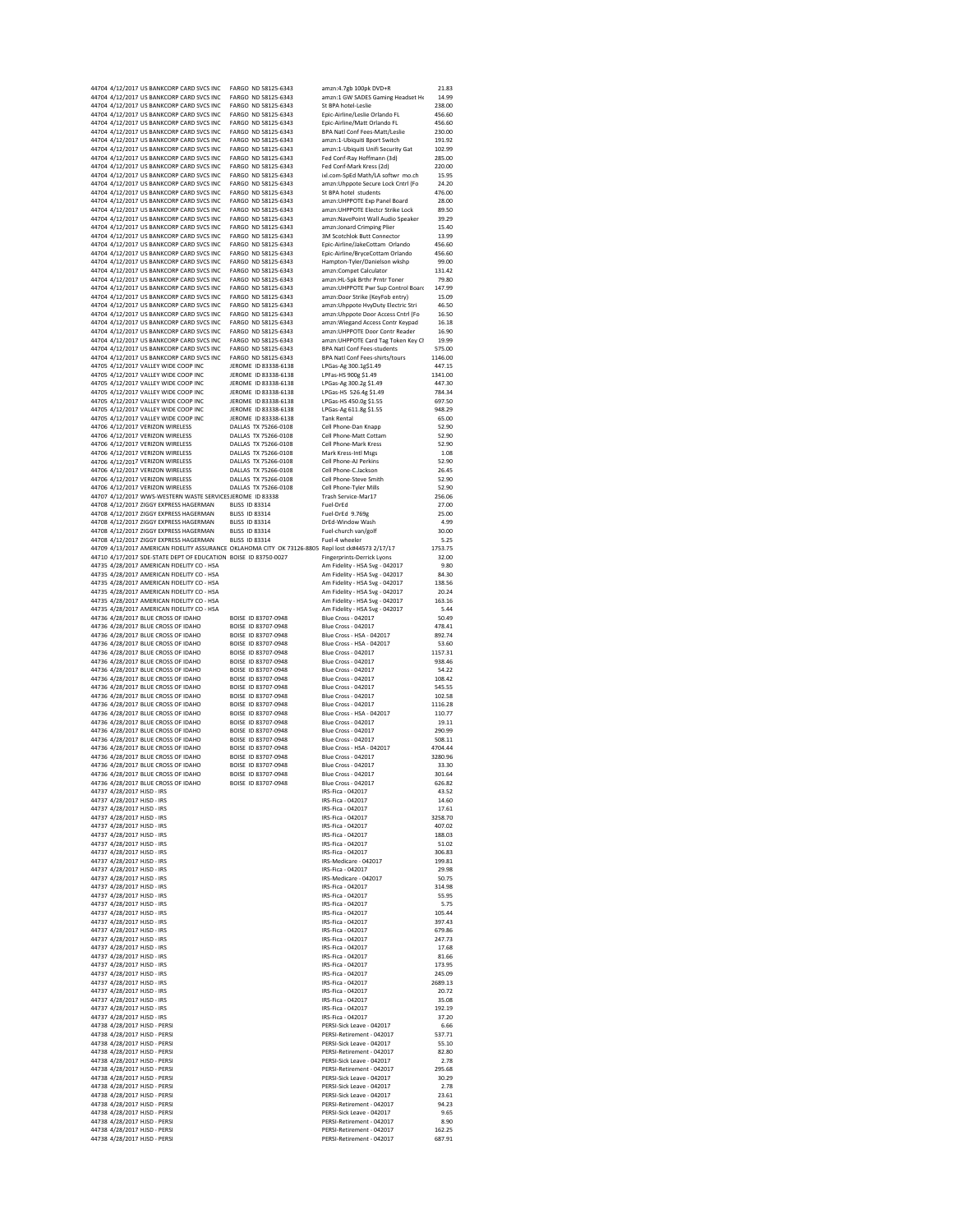|                                                          | 44704 4/12/2017 US BANKCORP CARD SVCS INC                       | FARGO ND 58125-6343                                                                                | amzn:4.7gb 100pk DVD+R                                 | 21.83            |
|----------------------------------------------------------|-----------------------------------------------------------------|----------------------------------------------------------------------------------------------------|--------------------------------------------------------|------------------|
|                                                          | 44704 4/12/2017 US BANKCORP CARD SVCS INC                       | FARGO ND 58125-6343                                                                                | amzn:1 GW SADES Gaming Headset He                      | 14.99            |
|                                                          | 44704 4/12/2017 US BANKCORP CARD SVCS INC                       | FARGO ND 58125-6343                                                                                | St BPA hotel-Leslie                                    | 238.00           |
|                                                          | 44704 4/12/2017 US BANKCORP CARD SVCS INC                       | FARGO ND 58125-6343                                                                                | Epic-Airline/Leslie Orlando FL                         | 456.60           |
|                                                          | 44704 4/12/2017 US BANKCORP CARD SVCS INC                       | FARGO ND 58125-6343                                                                                | Epic-Airline/Matt Orlando FL                           | 456.60           |
|                                                          | 44704 4/12/2017 US BANKCORP CARD SVCS INC                       | FARGO ND 58125-6343                                                                                | <b>BPA Natl Conf Fees-Matt/Leslie</b>                  | 230.00           |
|                                                          | 44704 4/12/2017 US BANKCORP CARD SVCS INC                       | FARGO ND 58125-6343                                                                                | amzn:1-Ubiquiti 8port Switch                           | 191.92           |
|                                                          | 44704 4/12/2017 US BANKCORP CARD SVCS INC                       | FARGO ND 58125-6343                                                                                | amzn:1-Ubiquiti Unifi Security Gat                     | 102.99           |
|                                                          | 44704 4/12/2017 US BANKCORP CARD SVCS INC                       | FARGO ND 58125-6343                                                                                | Fed Conf-Ray Hoffmann (3d)                             | 285.00           |
|                                                          | 44704 4/12/2017 US BANKCORP CARD SVCS INC                       | FARGO ND 58125-6343                                                                                | Fed Conf-Mark Kress (2d)                               | 220.00           |
|                                                          | 44704 4/12/2017 US BANKCORP CARD SVCS INC                       | FARGO ND 58125-6343                                                                                | ixl.com-SpEd Math/LA softwr mo.ch                      | 15.95            |
|                                                          | 44704 4/12/2017 US BANKCORP CARD SVCS INC                       | FARGO ND 58125-6343                                                                                | amzn:Uhppote Secure Lock Cntrl (Fo                     | 24.20            |
|                                                          |                                                                 |                                                                                                    |                                                        |                  |
|                                                          | 44704 4/12/2017 US BANKCORP CARD SVCS INC                       | FARGO ND 58125-6343                                                                                | St BPA hotel students                                  | 476.00           |
|                                                          | 44704 4/12/2017 US BANKCORP CARD SVCS INC                       | FARGO ND 58125-6343                                                                                | amzn:UHPPOTE Exp Panel Board                           | 28.00            |
|                                                          | 44704 4/12/2017 US BANKCORP CARD SVCS INC                       | FARGO ND 58125-6343                                                                                | amzn:UHPPOTE Electcr Strike Lock                       | 89.50            |
|                                                          | 44704 4/12/2017 US BANKCORP CARD SVCS INC                       | FARGO ND 58125-6343                                                                                | amzn:NavePoint Wall Audio Speaker                      | 39.29            |
|                                                          | 44704 4/12/2017 US BANKCORP CARD SVCS INC                       | FARGO ND 58125-6343                                                                                | amzn:Jonard Crimping Plier                             | 15.40            |
|                                                          | 44704 4/12/2017 US BANKCORP CARD SVCS INC                       | FARGO ND 58125-6343                                                                                | 3M Scotchlok Butt Connector                            | 13.99            |
|                                                          | 44704 4/12/2017 US BANKCORP CARD SVCS INC                       | FARGO ND 58125-6343                                                                                | Epic-Airline/JakeCottam Orlando                        | 456.60           |
|                                                          | 44704 4/12/2017 US BANKCORP CARD SVCS INC                       | FARGO ND 58125-6343                                                                                | Epic-Airline/BryceCottam Orlando                       | 456.60           |
|                                                          | 44704 4/12/2017 US BANKCORP CARD SVCS INC                       | FARGO ND 58125-6343                                                                                | Hampton-Tyler/Danielson wkshp                          | 99.00            |
|                                                          | 44704 4/12/2017 US BANKCORP CARD SVCS INC                       | FARGO ND 58125-6343                                                                                | amzn:Compet Calculator                                 | 131.42           |
|                                                          | 44704 4/12/2017 US BANKCORP CARD SVCS INC                       | FARGO ND 58125-6343                                                                                | amzn:HL-5pk Brthr Prntr Toner                          | 79.80            |
|                                                          | 44704 4/12/2017 US BANKCORP CARD SVCS INC                       | FARGO ND 58125-6343                                                                                | amzn:UHPPOTE Pwr Sup Control Board                     | 147.99           |
|                                                          |                                                                 |                                                                                                    |                                                        |                  |
|                                                          | 44704 4/12/2017 US BANKCORP CARD SVCS INC                       | FARGO ND 58125-6343                                                                                | amzn:Door Strike (KeyFob entry)                        | 15.09            |
|                                                          | 44704 4/12/2017 US BANKCORP CARD SVCS INC                       | FARGO ND 58125-6343                                                                                | amzn:Uhppote HvyDuty Electric Stri                     | 46.50            |
|                                                          | 44704 4/12/2017 US BANKCORP CARD SVCS INC                       | FARGO ND 58125-6343                                                                                | amzn:Uhppote Door Access Cntrl (Fo                     | 16.50            |
|                                                          | 44704 4/12/2017 US BANKCORP CARD SVCS INC                       | FARGO ND 58125-6343                                                                                | amzn: Wiegand Access Contr Keypad                      | 16.18            |
|                                                          | 44704 4/12/2017 US BANKCORP CARD SVCS INC                       | FARGO ND 58125-6343                                                                                | amzn:UHPPOTE Door Contr Reader                         | 16.90            |
|                                                          | 44704 4/12/2017 US BANKCORP CARD SVCS INC                       | FARGO ND 58125-6343                                                                                | amzn:UHPPOTE Card Tag Token Key Ch                     | 19.99            |
|                                                          | 44704 4/12/2017 US BANKCORP CARD SVCS INC                       | FARGO ND 58125-6343                                                                                | <b>BPA Natl Conf Fees-students</b>                     | 575.00           |
|                                                          | 44704 4/12/2017 US BANKCORP CARD SVCS INC                       | FARGO ND 58125-6343                                                                                | BPA Natl Conf Fees-shirts/tours                        | 1146.00          |
|                                                          | 44705 4/12/2017 VALLEY WIDE COOP INC                            | JEROME ID 83338-6138                                                                               | LPGas-Ag 300.1g\$1.49                                  | 447.15           |
|                                                          | 44705 4/12/2017 VALLEY WIDE COOP INC                            | JEROME ID 83338-6138                                                                               | LPFas-HS 900g \$1.49                                   | 1341.00          |
|                                                          | 44705 4/12/2017 VALLEY WIDE COOP INC                            | JEROME ID 83338-6138                                                                               | LPGas-Ag 300.2g \$1.49                                 | 447.30           |
|                                                          | 44705 4/12/2017 VALLEY WIDE COOP INC                            | JEROME ID 83338-6138                                                                               | LPGas-HS 526.4g \$1.49                                 | 784.34           |
|                                                          | 44705 4/12/2017 VALLEY WIDE COOP INC                            | JEROME ID 83338-6138                                                                               | LPGas-HS 450.0g \$1.55                                 | 697.50           |
|                                                          | 44705 4/12/2017 VALLEY WIDE COOP INC                            | JEROME ID 83338-6138                                                                               |                                                        | 948.29           |
|                                                          |                                                                 |                                                                                                    | LPGas-Ag 611.8g \$1.55                                 |                  |
|                                                          | 44705 4/12/2017 VALLEY WIDE COOP INC                            | JEROME ID 83338-6138                                                                               | <b>Tank Rental</b>                                     | 65.00            |
|                                                          | 44706 4/12/2017 VERIZON WIRELESS                                | DALLAS TX 75266-0108                                                                               | Cell Phone-Dan Knapp                                   | 52.90            |
|                                                          | 44706 4/12/2017 VERIZON WIRELESS                                | DALLAS TX 75266-0108                                                                               | Cell Phone-Matt Cottam                                 | 52.90            |
|                                                          | 44706 4/12/2017 VERIZON WIRELESS                                | DALLAS TX 75266-0108                                                                               | Cell Phone-Mark Kress                                  | 52.90            |
|                                                          | 44706 4/12/2017 VERIZON WIRELESS                                | DALLAS TX 75266-0108                                                                               | Mark Kress-Intl Msgs                                   | 1.08             |
|                                                          | 44706 4/12/2017 VERIZON WIRELESS                                | DALLAS TX 75266-0108                                                                               | Cell Phone-AJ Perkins                                  | 52.90            |
|                                                          | 44706 4/12/2017 VERIZON WIRELESS                                | DALLAS TX 75266-0108                                                                               | Cell Phone-C.Jackson                                   | 26.45            |
|                                                          | 44706 4/12/2017 VERIZON WIRELESS                                | DALLAS TX 75266-0108                                                                               | Cell Phone-Steve Smith                                 | 52.90            |
|                                                          | 44706 4/12/2017 VERIZON WIRELESS                                | DALLAS TX 75266-0108                                                                               | Cell Phone-Tyler Mills                                 | 52.90            |
|                                                          | 44707 4/12/2017 WWS-WESTERN WASTE SERVICESJEROME ID 83338       |                                                                                                    | Trash Service-Mar17                                    | 256.06           |
|                                                          | 44708 4/12/2017 ZIGGY EXPRESS HAGERMAN                          | <b>BLISS ID 83314</b>                                                                              | Fuel-DrEd                                              | 27.00            |
|                                                          |                                                                 |                                                                                                    |                                                        |                  |
|                                                          | 44708 4/12/2017 ZIGGY EXPRESS HAGERMAN                          | <b>BLISS ID 83314</b>                                                                              | Fuel-DrEd 9.769g                                       | 25.00            |
|                                                          | 44708 4/12/2017 ZIGGY EXPRESS HAGERMAN                          | <b>BLISS ID 83314</b>                                                                              | DrEd-Window Wash                                       | 4.99             |
|                                                          | 44708 4/12/2017 ZIGGY EXPRESS HAGERMAN                          | BLISS ID 83314                                                                                     | Fuel-church van/golf                                   | 30.00            |
|                                                          | 44708 4/12/2017 ZIGGY EXPRESS HAGERMAN                          | BLISS ID 83314                                                                                     | Fuel-4 wheeler                                         | 5.25             |
|                                                          |                                                                 | 44709 4/13/2017 AMERICAN FIDELITY ASSURANCE OKLAHOMA CITY OK 73126-8805 Repl lost ck#44573 2/17/17 |                                                        | 1753.75          |
|                                                          | 44710 4/17/2017 SDE-STATE DEPT OF EDUCATION BOISE ID 83750-0027 |                                                                                                    | <b>Fingerprints-Derrick Lyons</b>                      | 32.00            |
|                                                          | 44735 4/28/2017 AMERICAN FIDELITY CO - HSA                      |                                                                                                    | Am Fidelity - HSA Svg - 042017                         | 9.80             |
|                                                          | 44735 4/28/2017 AMERICAN FIDELITY CO - HSA                      |                                                                                                    | Am Fidelity - HSA Svg - 042017                         | 84.30            |
|                                                          | 44735 4/28/2017 AMERICAN FIDELITY CO - HSA                      |                                                                                                    | Am Fidelity - HSA Svg - 042017                         | 138.56           |
|                                                          | 44735 4/28/2017 AMERICAN FIDELITY CO - HSA                      |                                                                                                    | Am Fidelity - HSA Svg - 042017                         | 20.24            |
|                                                          | 44735 4/28/2017 AMERICAN FIDELITY CO - HSA                      |                                                                                                    | Am Fidelity - HSA Svg - 042017                         | 163.16           |
|                                                          | 44735 4/28/2017 AMERICAN FIDELITY CO - HSA                      |                                                                                                    | Am Fidelity - HSA Svg - 042017                         | 5.44             |
|                                                          | 44736 4/28/2017 BLUE CROSS OF IDAHO                             | BOISE ID 83707-0948                                                                                | <b>Blue Cross - 042017</b>                             | 50.49            |
|                                                          |                                                                 |                                                                                                    |                                                        |                  |
|                                                          | 44736 4/28/2017 BLUE CROSS OF IDAHO                             | BOISE ID 83707-0948                                                                                | Blue Cross - 042017                                    | 478.41           |
|                                                          | 44736 4/28/2017 BLUE CROSS OF IDAHO                             | BOISE ID 83707-0948                                                                                | Blue Cross - HSA - 042017                              | 892.74           |
|                                                          | 44736 4/28/2017 BLUE CROSS OF IDAHO                             | BOISE ID 83707-0948                                                                                | Blue Cross - HSA - 042017                              | 53.60            |
|                                                          | 44736 4/28/2017 BLUE CROSS OF IDAHO                             | BOISE ID 83707-0948                                                                                | Blue Cross - 042017                                    | 1157.31          |
|                                                          | 44736 4/28/2017 BLUE CROSS OF IDAHO                             | BOISE ID 83707-0948                                                                                | <b>Blue Cross - 042017</b>                             | 938.46           |
|                                                          | 44736 4/28/2017 BLUE CROSS OF IDAHO                             | BOISE ID 83707-0948                                                                                | Blue Cross - 042017                                    | 54.22            |
|                                                          | 44736 4/28/2017 BLUE CROSS OF IDAHO                             | BOISE ID 83707-0948                                                                                | <b>Blue Cross - 042017</b>                             | 108.42           |
|                                                          | 44736 4/28/2017 BLUE CROSS OF IDAHO                             | BOISE ID 83707-0948                                                                                | Blue Cross - 042017                                    | 545.55           |
|                                                          | 44736 4/28/2017 BLUE CROSS OF IDAHO                             | BOISE ID 83707-0948                                                                                | Blue Cross - 042017                                    | 102.58           |
|                                                          | 44736 4/28/2017 BLUE CROSS OF IDAHO                             | BOISE ID 83707-0948                                                                                | <b>Blue Cross - 042017</b>                             | 1116.28          |
|                                                          | 44736 4/28/2017 BLUE CROSS OF IDAHO                             | BOISE ID 83707-0948                                                                                | Blue Cross - HSA - 042017                              | 110.77           |
|                                                          | 44736 4/28/2017 BLUE CROSS OF IDAHO                             | BOISE ID 83707-0948                                                                                | <b>Blue Cross - 042017</b>                             | 19.11            |
|                                                          |                                                                 |                                                                                                    |                                                        |                  |
|                                                          | 44736 4/28/2017 BLUE CROSS OF IDAHO                             | BOISE ID 83707-0948                                                                                | Blue Cross - 042017                                    | 290.99           |
|                                                          | 44736 4/28/2017 BLUE CROSS OF IDAHO                             | BOISE ID 83707-0948                                                                                | Blue Cross - 042017                                    | 508.11           |
|                                                          | 44736 4/28/2017 BLUE CROSS OF IDAHO                             | BOISE ID 83707-0948                                                                                | Blue Cross - HSA - 042017                              | 4704.44          |
|                                                          | 44736 4/28/2017 BLUE CROSS OF IDAHO                             | BOISE ID 83707-0948                                                                                | Blue Cross - 042017                                    | 3280.96          |
|                                                          | 44736 4/28/2017 BLUE CROSS OF IDAHO                             | BOISE ID 83707-0948                                                                                | <b>Blue Cross - 042017</b>                             | 33.30            |
|                                                          | 44736 4/28/2017 BLUE CROSS OF IDAHO                             | BOISE ID 83707-0948                                                                                | Blue Cross - 042017                                    | 301.64           |
|                                                          | 44736 4/28/2017 BLUE CROSS OF IDAHO                             | BOISE ID 83707-0948                                                                                | <b>Blue Cross - 042017</b>                             | 626.82           |
| 44737 4/28/2017 HJSD - IRS                               |                                                                 |                                                                                                    |                                                        |                  |
| 44737 4/28/2017 HJSD - IRS                               |                                                                 |                                                                                                    | IRS-Fica - 042017                                      | 43.52            |
|                                                          |                                                                 |                                                                                                    | IRS-Fica - 042017                                      | 14.60            |
|                                                          | 44737 4/28/2017 HJSD - IRS                                      |                                                                                                    | IRS-Fica - 042017                                      | 17.61            |
| 44737 4/28/2017 HJSD - IRS                               |                                                                 |                                                                                                    | IRS-Fica - 042017                                      | 3258.70          |
| 44737 4/28/2017 HJSD - IRS                               |                                                                 |                                                                                                    | IRS-Fica - 042017                                      | 407.02           |
|                                                          |                                                                 |                                                                                                    |                                                        | 188.03           |
| 44737 4/28/2017 HJSD - IRS                               |                                                                 |                                                                                                    | IRS-Fica - 042017<br>IRS-Fica - 042017                 |                  |
| 44737 4/28/2017 HJSD - IRS                               |                                                                 |                                                                                                    |                                                        | 51.02            |
| 44737 4/28/2017 HJSD - IRS                               |                                                                 |                                                                                                    | IRS-Fica - 042017                                      | 306.83           |
| 44737 4/28/2017 HJSD - IRS                               |                                                                 |                                                                                                    | IRS-Medicare - 042017                                  | 199.81           |
| 44737 4/28/2017 HJSD - IRS                               |                                                                 |                                                                                                    | IRS-Fica - 042017                                      | 29.98            |
| 44737 4/28/2017 HJSD - IRS                               |                                                                 |                                                                                                    | IRS-Medicare - 042017                                  | 50.75            |
| 44737 4/28/2017 HJSD - IRS                               |                                                                 |                                                                                                    | IRS-Fica - 042017                                      | 314.98           |
| 44737 4/28/2017 HJSD - IRS                               |                                                                 |                                                                                                    | IRS-Fica - 042017                                      | 55.95            |
| 44737 4/28/2017 HJSD - IRS                               |                                                                 |                                                                                                    | IRS-Fica - 042017                                      | 5.75             |
| 44737 4/28/2017 HJSD - IRS                               |                                                                 |                                                                                                    | IRS-Fica - 042017                                      | 105.44           |
| 44737 4/28/2017 HJSD - IRS                               |                                                                 |                                                                                                    | IRS-Fica - 042017                                      | 397.43           |
| 44737 4/28/2017 HJSD - IRS                               |                                                                 |                                                                                                    | IRS-Fica - 042017                                      | 679.86           |
| 44737 4/28/2017 HJSD - IRS                               |                                                                 |                                                                                                    | IRS-Fica - 042017                                      | 247.73           |
|                                                          |                                                                 |                                                                                                    | IRS-Fica - 042017                                      | 17.68            |
| 44737 4/28/2017 HJSD - IRS<br>44737 4/28/2017 HJSD - IRS |                                                                 |                                                                                                    | IRS-Fica - 042017                                      | 81.66            |
|                                                          |                                                                 |                                                                                                    | IRS-Fica - 042017                                      | 173.95           |
| 44737 4/28/2017 HJSD - IRS                               |                                                                 |                                                                                                    |                                                        |                  |
| 44737 4/28/2017 HJSD - IRS                               |                                                                 |                                                                                                    | IRS-Fica - 042017                                      | 245.09           |
| 44737 4/28/2017 HJSD - IRS                               |                                                                 |                                                                                                    | IRS-Fica - 042017                                      | 2689.13          |
| 44737 4/28/2017 HJSD - IRS                               |                                                                 |                                                                                                    | IRS-Fica - 042017                                      | 20.72            |
| 44737 4/28/2017 HJSD - IRS                               |                                                                 |                                                                                                    | IRS-Fica - 042017                                      | 35.08            |
| 44737 4/28/2017 HJSD - IRS                               |                                                                 |                                                                                                    | IRS-Fica - 042017                                      | 192.19           |
| 44737 4/28/2017 HJSD - IRS                               |                                                                 |                                                                                                    | IRS-Fica - 042017                                      | 37.20            |
|                                                          | 44738 4/28/2017 HJSD - PERSI                                    |                                                                                                    | PERSI-Sick Leave - 042017                              | 6.66             |
|                                                          | 44738 4/28/2017 HJSD - PERSI                                    |                                                                                                    | PERSI-Retirement - 042017                              | 537.71           |
|                                                          | 44738 4/28/2017 HJSD - PERSI                                    |                                                                                                    | PERSI-Sick Leave - 042017                              | 55.10            |
|                                                          | 44738 4/28/2017 HJSD - PERSI                                    |                                                                                                    | PERSI-Retirement - 042017                              | 82.80            |
|                                                          |                                                                 |                                                                                                    |                                                        |                  |
|                                                          | 44738 4/28/2017 HJSD - PERSI                                    |                                                                                                    | PERSI-Sick Leave - 042017                              | 2.78             |
|                                                          | 44738 4/28/2017 HJSD - PERSI<br>44738 4/28/2017 HJSD - PERSI    |                                                                                                    | PERSI-Retirement - 042017<br>PERSI-Sick Leave - 042017 | 295.68<br>30.29  |
|                                                          |                                                                 |                                                                                                    |                                                        |                  |
|                                                          | 44738 4/28/2017 HJSD - PERSI                                    |                                                                                                    | PERSI-Sick Leave - 042017                              | 2.78             |
|                                                          | 44738 4/28/2017 HJSD - PERSI                                    |                                                                                                    | PERSI-Sick Leave - 042017                              | 23.61            |
|                                                          | 44738 4/28/2017 HJSD - PERSI                                    |                                                                                                    | PERSI-Retirement - 042017                              | 94.23            |
|                                                          | 44738 4/28/2017 HJSD - PERSI                                    |                                                                                                    | PERSI-Sick Leave - 042017                              | 9.65             |
|                                                          | 44738 4/28/2017 HJSD - PERSI                                    |                                                                                                    | PERSI-Retirement - 042017                              | 8.90             |
|                                                          | 44738 4/28/2017 HJSD - PERSI<br>44738 4/28/2017 HJSD - PERSI    |                                                                                                    | PERSI-Retirement - 042017<br>PERSI-Retirement - 042017 | 162.25<br>687.91 |